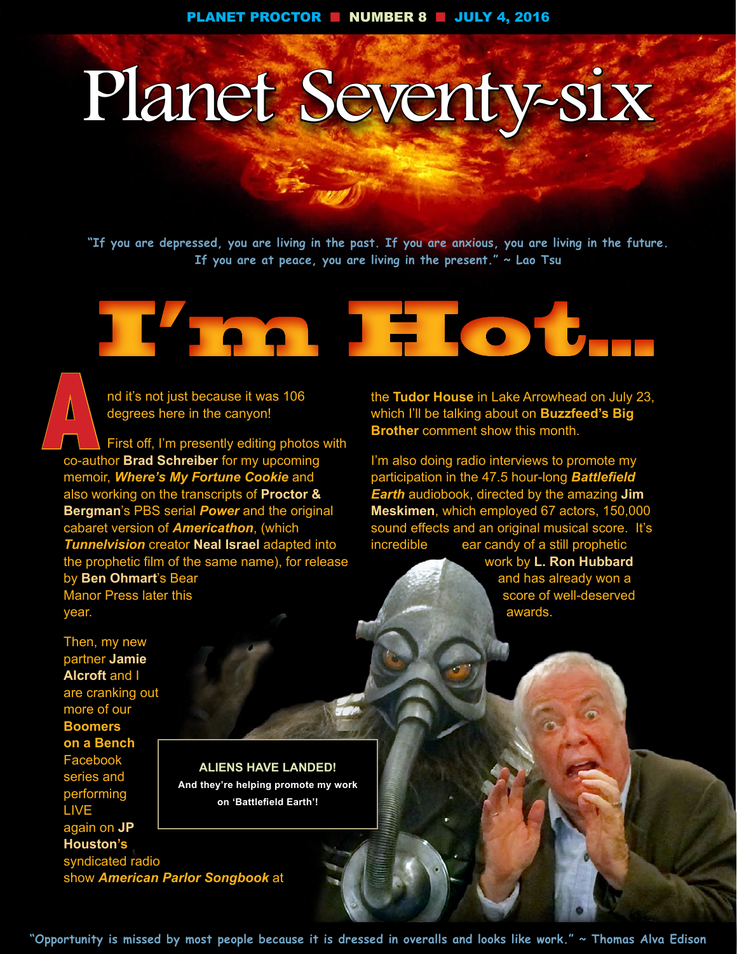# Planet Seventy-six

**"If you are depressed, you are living in the past. If you are anxious, you are living in the future. If you are at peace, you are living in the present." ~ Lao Tsu**



**A**<br> **A** degrees here in the canyon!<br>
First off, I'm presently editing photos with degrees here in the canyon!

co-author **Brad Schreiber** for my upcoming memoir, *Where's My Fortune Cookie* and also working on the transcripts of **Proctor & Bergman**'s PBS serial *Power* and the original cabaret version of *Americathon*, (which *Tunnelvision* creator **Neal Israel** adapted into the prophetic film of the same name), for release by **Ben Ohmart**'s Bear Manor Press later this year. **A**<br>Co-aut

the **Tudor House** in Lake Arrowhead on July 23, which I'll be talking about on **Buzzfeed's Big Brother** comment show this month.

I'm also doing radio interviews to promote my participation in the 47.5 hour-long *Battlefield Earth* audiobook, directed by the amazing **Jim Meskimen**, which employed 67 actors, 150,000 sound effects and an original musical score. It's incredible ear candy of a still prophetic

work by **L. Ron Hubbard**  and has already won a score of well-deserved awards.

Then, my new partner **Jamie Alcroft** and I are cranking out more of our **Boomers on a Bench**  Facebook series and performing LIVE again on **JP Houston's**  syndicated radio show *American Parlor Songbook* at

#### **ALIENS HAVE LANDED!**

**And they're helping promote my work on 'Battlefield Earth'!**

**"Opportunity is missed by most people because it is dressed in overalls and looks like work." ~ Thomas Alva Edison**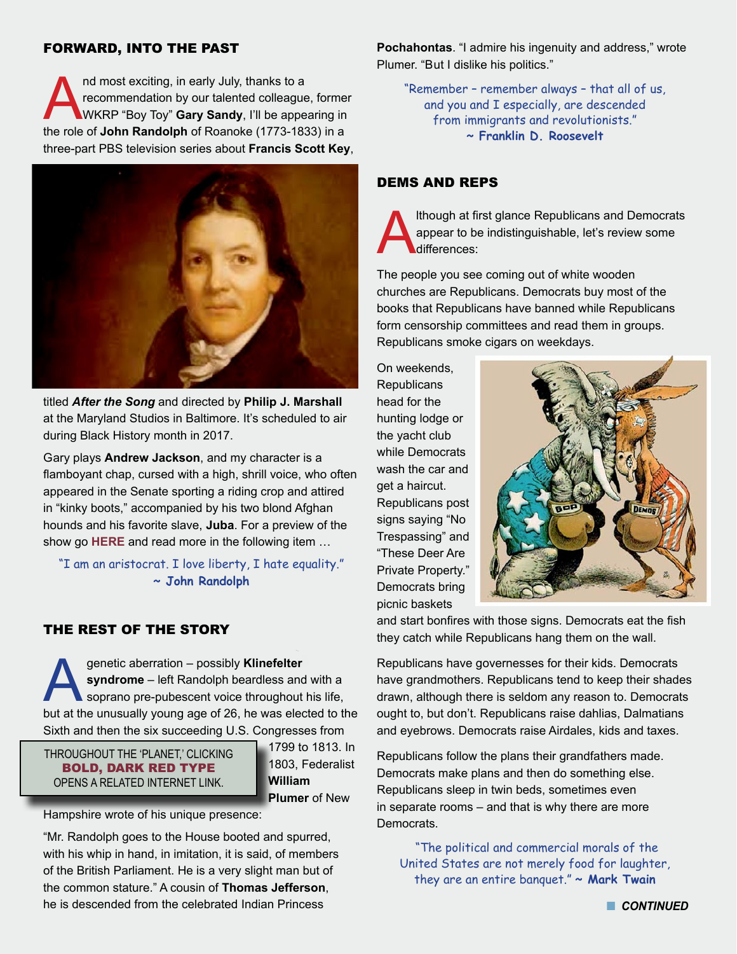#### FORWARD, INTO THE PAST

nd most exciting, in early July, thanks to a<br>recommendation by our talented colleague<br>WKRP "Boy Toy" **Gary Sandy**, I'll be appe recommendation by our talented colleague, former WKRP "Boy Toy" **Gary Sandy**, I'll be appearing in the role of **John Randolph** of Roanoke (1773-1833) in a three-part PBS television series about **Francis Scott Key**,



titled *After the Song* and directed by **Philip J. Marshall** at the Maryland Studios in Baltimore. It's scheduled to air during Black History month in 2017.

Gary plays **Andrew Jackson**, and my character is a flamboyant chap, cursed with a high, shrill voice, who often appeared in the Senate sporting a riding crop and attired in "kinky boots," accompanied by his two blond Afghan hounds and his favorite slave, **Juba**. For a preview of the show go **[HERE](http://www.fskusa.org)** and read more in the following item …

"I am an aristocrat. I love liberty, I hate equality." **~ John Randolph**

## THE REST OF THE STORY

genetic aberration – possibly **Klinefelter**<br> **syndrome** – left Randolph beardless and<br>
soprano pre-pubescent voice throughout<br>
but at the unusually young age of 26 he was elec**syndrome** – left Randolph beardless and with a soprano pre-pubescent voice throughout his life, but at the unusually young age of 26, he was elected to the Sixth and then the six succeeding U.S. Congresses from

THROUGHOUT THE 'PLANET,' CLICKING BOLD, DARK RED TYPE OPENS A RELATED INTERNET LINK.

1799 to 1813. In 1803, Federalist **William Plumer** of New

Hampshire wrote of his unique presence:

"Mr. Randolph goes to the House booted and spurred, with his whip in hand, in imitation, it is said, of members of the British Parliament. He is a very slight man but of the common stature." A cousin of **Thomas Jefferson**, he is descended from the celebrated Indian Princess

**Pochahontas**. "I admire his ingenuity and address," wrote Plumer. "But I dislike his politics."

"Remember – remember always – that all of us, and you and I especially, are descended from immigrants and revolutionists." **~ Franklin D. Roosevelt**

#### DEMS AND REPS

Ithough at first glance Republicans and Democrats<br>appear to be indistinguishable, let's review some<br>differences: appear to be indistinguishable, let's review some differences:

The people you see coming out of white wooden churches are Republicans. Democrats buy most of the books that Republicans have banned while Republicans form censorship committees and read them in groups. Republicans smoke cigars on weekdays.

On weekends, **Republicans** head for the hunting lodge or the yacht club while Democrats wash the car and get a haircut. Republicans post signs saying "No Trespassing" and "These Deer Are Private Property." Democrats bring picnic baskets



and start bonfires with those signs. Democrats eat the fish they catch while Republicans hang them on the wall.

Republicans have governesses for their kids. Democrats have grandmothers. Republicans tend to keep their shades drawn, although there is seldom any reason to. Democrats ought to, but don't. Republicans raise dahlias, Dalmatians and eyebrows. Democrats raise Airdales, kids and taxes.

Republicans follow the plans their grandfathers made. Democrats make plans and then do something else. Republicans sleep in twin beds, sometimes even in separate rooms – and that is why there are more Democrats.

 "The political and commercial morals of the United States are not merely food for laughter, they are an entire banquet." **~ Mark Twain**

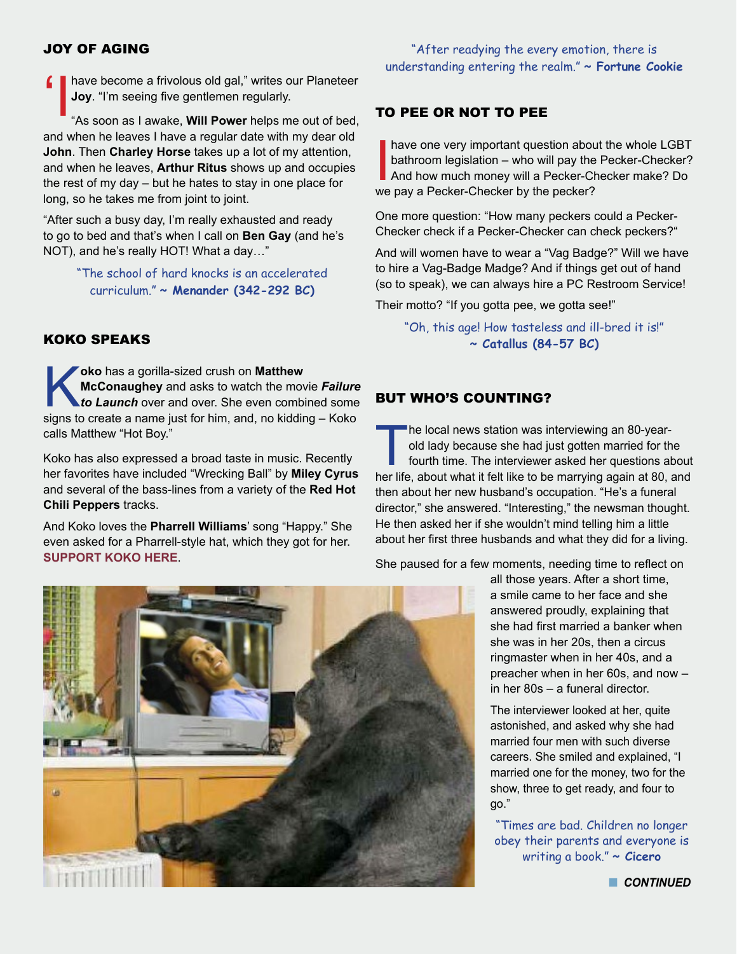#### JOY OF AGING

'Ihave become a frivolous old gal," writes our Planeteer "As soon as I awake, **Will Power** helps me out of bed, **Joy**. "I'm seeing five gentlemen regularly.

and when he leaves I have a regular date with my dear old **John**. Then **Charley Horse** takes up a lot of my attention, and when he leaves, **Arthur Ritus** shows up and occupies the rest of my day – but he hates to stay in one place for long, so he takes me from joint to joint.

"After such a busy day, I'm really exhausted and ready to go to bed and that's when I call on **Ben Gay** (and he's NOT), and he's really HOT! What a day…"

> "The school of hard knocks is an accelerated curriculum." **~ Menander (342-292 BC)**

#### KOKO SPEAKS

ko has a gorilla-sized crush on **Matthew McConaughey** and asks to watch the move to **Launch** over and over. She even combinations to create a name just for him, and no kidding **McConaughey** and asks to watch the movie *Failure to Launch* over and over. She even combined some signs to create a name just for him, and, no kidding – Koko calls Matthew "Hot Boy."

Koko has also expressed a broad taste in music. Recently her favorites have included "Wrecking Ball" by **Miley Cyrus**  and several of the bass-lines from a variety of the **Red Hot Chili Peppers** tracks.

And Koko loves the **Pharrell Williams**' song "Happy." She even asked for a Pharrell-style hat, which they got for her. **[SUPPORT KOKO HERE](http://www.koko.org)**.

## "After readying the every emotion, there is understanding entering the realm." **~ Fortune Cookie**

#### TO PEE OR NOT TO PEE

have one very important question about bathroom legislation – who will pay the And how much money will a Pecker-Cheeser? have one very important question about the whole LGBT bathroom legislation – who will pay the Pecker-Checker? And how much money will a Pecker-Checker make? Do

One more question: "How many peckers could a Pecker-Checker check if a Pecker-Checker can check peckers?"

And will women have to wear a "Vag Badge?" Will we have to hire a Vag-Badge Madge? And if things get out of hand (so to speak), we can always hire a PC Restroom Service!

Their motto? "If you gotta pee, we gotta see!"

"Oh, this age! How tasteless and ill-bred it is!" **~ Catallus (84-57 BC)**

#### BUT WHO'S COUNTING?

The local news station was interviewing an 80-year-<br>old lady because she had just gotten married for the fourth time. The interviewer asked her questions all<br>her life about what it felt like to be marrying again at 80 old lady because she had just gotten married for the fourth time. The interviewer asked her questions about her life, about what it felt like to be marrying again at 80, and then about her new husband's occupation. "He's a funeral director," she answered. "Interesting," the newsman thought. He then asked her if she wouldn't mind telling him a little about her first three husbands and what they did for a living.

She paused for a few moments, needing time to reflect on

all those years. After a short time, a smile came to her face and she answered proudly, explaining that she had first married a banker when she was in her 20s, then a circus ringmaster when in her 40s, and a preacher when in her 60s, and now – in her 80s – a funeral director.

The interviewer looked at her, quite astonished, and asked why she had married four men with such diverse careers. She smiled and explained, "I married one for the money, two for the show, three to get ready, and four to go."

"Times are bad. Children no longer obey their parents and everyone is writing a book." **~ Cicero**

**n** CONTINUED

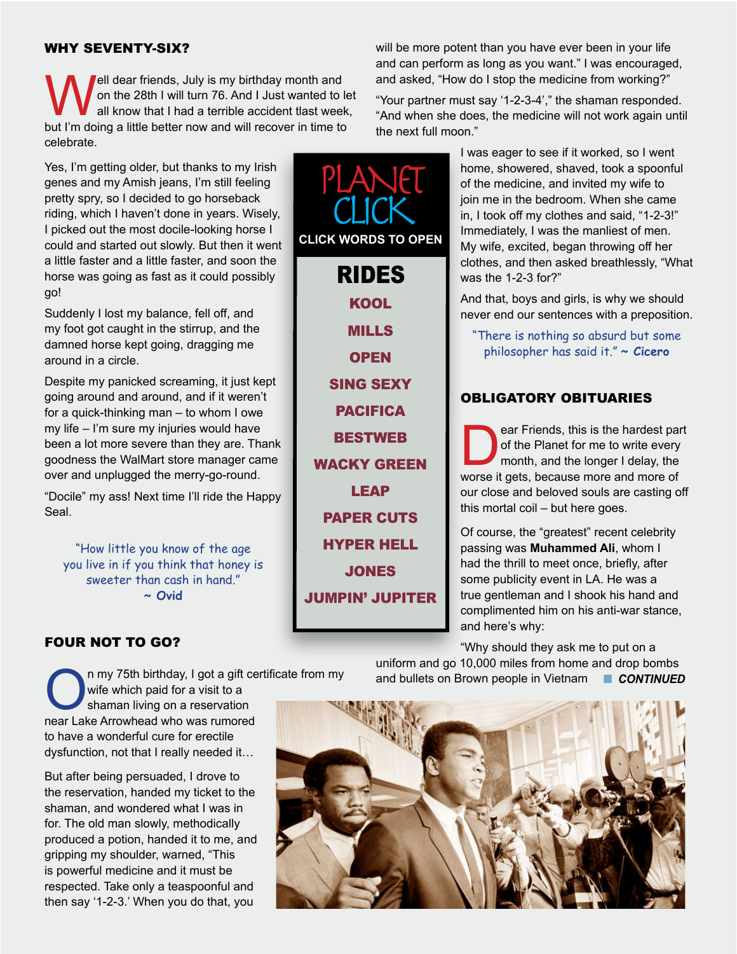#### WHY SEVENTY-SIX?

lell dear friends, July is my birthday month and on the 28th I will turn 76. And I Just wanted to let all know that I had a terrible accident tlast week, but I'm doing a little better now and will recover in time to celebrate.

Yes, I'm getting older, but thanks to my Irish genes and my Amish jeans, I'm still feeling pretty spry, so I decided to go horseback riding, which I haven't done in years. Wisely, I picked out the most docile-looking horse I could and started out slowly. But then it went a little faster and a little faster, and soon the horse was going as fast as it could possibly go!

Suddenly I lost my balance, fell off, and my foot got caught in the stirrup, and the damned horse kept going, dragging me around in a circle.

Despite my panicked screaming, it just kept going around and around, and if it weren't for a quick-thinking man – to whom I owe my life – I'm sure my injuries would have been a lot more severe than they are. Thank goodness the WalMart store manager came over and unplugged the merry-go-round.

"Docile" my ass! Next time I'll ride the Happy Seal.

"How little you know of the age you live in if you think that honey is sweeter than cash in hand." **~ Ovid**

# FOUR NOT TO GO?

n my 75th birthday, I got a gift certificate from my wife which paid for a visit to a

shaman living on a reservation near Lake Arrowhead who was rumored to have a wonderful cure for erectile dysfunction, not that I really needed it…

But after being persuaded, I drove to the reservation, handed my ticket to the shaman, and wondered what I was in for. The old man slowly, methodically produced a potion, handed it to me, and gripping my shoulder, warned, "This is powerful medicine and it must be respected. Take only a teaspoonful and then say '1-2-3.' When you do that, you

**[KOOL](http://historyofcool.com)** [MILLS](https://www.youtube.com/watch?v=ZthGh758pYY#action=share) **[OPEN](https://www.youtube.com/watch?v=PRVwHP__qMM)** [SING SEXY](https://youtu.be/WH8IKANHNqM) [PACIFICA](http://citywatchla.com/index.php/the-la-beat/11301-saving-pacifica-radio-an-insider-s-view) **[BESTWEB](http://biggeekdad.com/2015/12/best-of-web-2015/)** [WACKY GREEN](http://www.wackyuses.com/wacky/lipton.html) [LEAP](https://www.youtube.com/watch?v=Dr7SHCCETgM) [PAPER CUTS](http://www.ba-bamail.com/content.aspx?emailid=21394) [HYPER HELL](https://www.youtube.com/watch?v=YJg02ivYzSs) **[JONES](http://www.smithsonianmag.com/history/true-story-free-state-jones-180958111/#eSSf1BRZoClX5ywo.99)** [JUMPIN' JUPITER](http://www.huffingtonpost.com/entry/juno-bow-shock-audio_us_5775f088e4b04164640f684d?section) PLANET CLICK **CLICK WORDS TO OPEN** RIDES

will be more potent than you have ever been in your life and can perform as long as you want." I was encouraged, and asked, "How do I stop the medicine from working?"

"Your partner must say '1-2-3-4'," the shaman responded. "And when she does, the medicine will not work again until the next full moon."

> I was eager to see if it worked, so I went home, showered, shaved, took a spoonful of the medicine, and invited my wife to join me in the bedroom. When she came in, I took off my clothes and said, "1-2-3!" Immediately, I was the manliest of men. My wife, excited, began throwing off her clothes, and then asked breathlessly, "What was the 1-2-3 for?"

> And that, boys and girls, is why we should never end our sentences with a preposition.

"There is nothing so absurd but some philosopher has said it." **~ Cicero**

## OBLIGATORY OBITUARIES

ear Friends, this is the hardest part<br>of the Planet for me to write every<br>month, and the longer I delay, the<br>worse it gets, because more and more of of the Planet for me to write every month, and the longer I delay, the worse it gets, because more and more of our close and beloved souls are casting off this mortal coil – but here goes.

Of course, the "greatest" recent celebrity passing was **Muhammed Ali**, whom I had the thrill to meet once, briefly, after some publicity event in LA. He was a true gentleman and I shook his hand and complimented him on his anti-war stance, and here's why:

"Why should they ask me to put on a uniform and go 10,000 miles from home and drop bombs and bullets on Brown people in Vietnam n *CONTINUED*